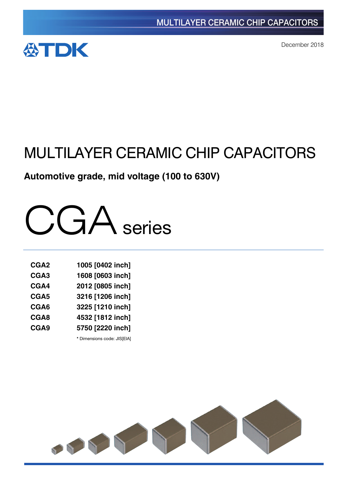

December 2018

# MULTILAYER CERAMIC CHIP CAPACITORS

# **Automotive grade, mid voltage (100 to 630V)**



| CGA <sub>2</sub> | 1005 [0402 inch] |
|------------------|------------------|
| CGA <sub>3</sub> | 1608 [0603 inch] |
| CGA4             | 2012 [0805 inch] |
| CGA <sub>5</sub> | 3216 [1206 inch] |
| CGA6             | 3225 [1210 inch] |
| CGA8             | 4532 [1812 inch] |
| CGA9             | 5750 [2220 inch] |
|                  |                  |

**\*** Dimensions code: JIS[EIA]

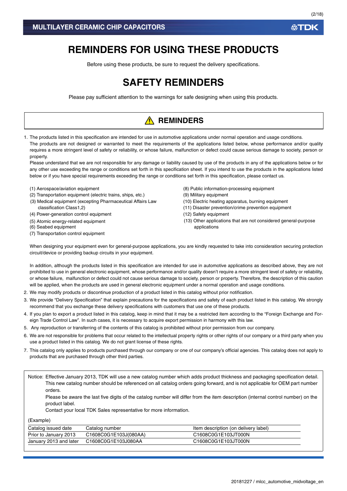# **REMINDERS FOR USING THESE PRODUCTS**

Before using these products, be sure to request the delivery specifications.

# **SAFETY REMINDERS**

Please pay sufficient attention to the warnings for safe designing when using this products.

# **A** REMINDERS

1. The products listed in this specification are intended for use in automotive applications under normal operation and usage conditions. The products are not designed or warranted to meet the requirements of the applications listed below, whose performance and/or quality requires a more stringent level of safety or reliability, or whose failure, malfunction or defect could cause serious damage to society, person or property.

Please understand that we are not responsible for any damage or liability caused by use of the products in any of the applications below or for any other use exceeding the range or conditions set forth in this specification sheet. If you intend to use the products in the applications listed below or if you have special requirements exceeding the range or conditions set forth in this specification, please contact us.

- (1) Aerospace/aviation equipment
- (2) Transportation equipment (electric trains, ships, etc.)
- (3) Medical equipment (excepting Pharmaceutical Affairs Law classification Class1,2)
- (4) Power-generation control equipment
- (5) Atomic energy-related equipment
- (6) Seabed equipment
- (7) Transportation control equipment
- (8) Public information-processing equipment
- (9) Military equipment
- (10) Electric heating apparatus, burning equipment
- (11) Disaster prevention/crime prevention equipment
- (12) Safety equipment
- (13) Other applications that are not considered general-purpose applications

When designing your equipment even for general-purpose applications, you are kindly requested to take into consideration securing protection circuit/device or providing backup circuits in your equipment.

In addition, although the products listed in this specification are intended for use in automotive applications as described above, they are not prohibited to use in general electronic equipment, whose performance and/or quality doesn't require a more stringent level of safety or reliability, or whose failure, malfunction or defect could not cause serious damage to society, person or property. Therefore, the description of this caution will be applied, when the products are used in general electronic equipment under a normal operation and usage conditions.

- 2. We may modify products or discontinue production of a product listed in this catalog without prior notification.
- 3. We provide "Delivery Specification" that explain precautions for the specifications and safety of each product listed in this catalog. We strongly recommend that you exchange these delivery specifications with customers that use one of these products.
- 4. If you plan to export a product listed in this catalog, keep in mind that it may be a restricted item according to the "Foreign Exchange and Foreign Trade Control Law". In such cases, it is necessary to acquire export permission in harmony with this law.
- 5. Any reproduction or transferring of the contents of this catalog is prohibited without prior permission from our company.
- 6. We are not responsible for problems that occur related to the intellectual property rights or other rights of our company or a third party when you use a product listed in this catalog. We do not grant license of these rights.
- 7. This catalog only applies to products purchased through our company or one of our company's official agencies. This catalog does not apply to products that are purchased through other third parties.

Notice: Effective January 2013, TDK will use a new catalog number which adds product thickness and packaging specification detail. This new catalog number should be referenced on all catalog orders going forward, and is not applicable for OEM part number orders.

Please be aware the last five digits of the catalog number will differ from the item description (internal control number) on the product label.

Contact your local TDK Sales representative for more information.

(Example)

| Catalog issued date    | Catalog number        | Item description (on delivery label) |
|------------------------|-----------------------|--------------------------------------|
| Prior to January 2013  | C1608C0G1E103J(080AA) | C1608C0G1E103JT000N                  |
| January 2013 and later | C1608C0G1E103J080AA   | C1608C0G1E103JT000N                  |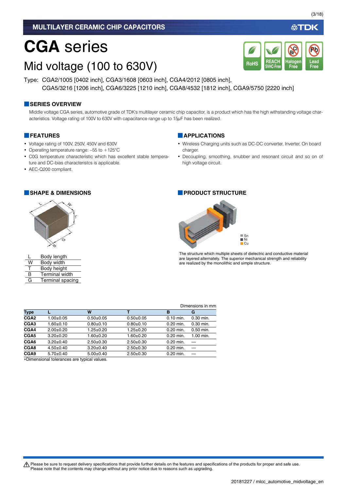# **CGA** series

# Mid voltage (100 to 630V)

Type: CGA2/1005 [0402 inch], CGA3/1608 [0603 inch], CGA4/2012 [0805 inch], CGA5/3216 [1206 inch], CGA6/3225 [1210 inch], CGA8/4532 [1812 inch], CGA9/5750 [2220 inch]

#### **■SERIES OVERVIEW**

Middle voltage CGA series, automotive grade of TDK's multilayer ceramic chip capacitor, is a product which has the high withstanding voltage characteristics. Voltage rating of 100V to 630V with capacitance range up to 15µF has been realized.

#### **■FEATURES**

- Voltage rating of 100V, 250V, 450V and 630V
- Operating temperature range: –55 to +125°C
- C0G temperature characteristic which has excellent stable temperature and DC-bias characteristcs is applicable.
- AEC-Q200 compliant.



|   | Body length           |
|---|-----------------------|
| W | Body width            |
| т | Body height           |
| R | <b>Terminal width</b> |

G Terminal spacing

#### **■APPLICATIONS**

- Wireless Charging units such as DC-DC converter, Inverter, On board charger.
- Decoupling, smoothing, snubber and resonant circuit and so on of high voltage circuit.

#### **■SHAPE & DIMENSIONS ■PRODUCT STRUCTURE**



Dimensions in

The structure which multiple sheets of dielectric and conductive material are layered alternately. The superior mechanical strength and reliability are realized by the monolithic and simple structure.

|      |                 |                 |                 |             | елиензюлэ птип |  |
|------|-----------------|-----------------|-----------------|-------------|----------------|--|
| Type |                 | W               |                 | в           | G              |  |
| CGA2 | $1.00 \pm 0.05$ | $0.50+0.05$     | $0.50+0.05$     | $0.10$ min. | $0.30$ min.    |  |
| CGA3 | $1.60 + 0.10$   | $0.80 + 0.10$   | $0.80+0.10$     | $0.20$ min. | $0.30$ min.    |  |
| CGA4 | $2.00+0.20$     | $1.25 \pm 0.20$ | $1.25 \pm 0.20$ | 0.20 min.   | $0.50$ min.    |  |
| CGA5 | $3.20 \pm 0.20$ | $1.60 + 0.20$   | $1.60 + 0.20$   | 0.20 min.   | 1.00 min.      |  |
| CGA6 | $3.20 \pm 0.40$ | $2.50+0.30$     | $2.50+0.30$     | 0.20 min.   |                |  |
| CGA8 | $4.50+0.40$     | $3.20 \pm 0.40$ | $2.50+0.30$     | $0.20$ min. |                |  |
| CGA9 | $5.70+0.40$     | $5.00+0.40$     | $2.50+0.30$     | 0.20 min.   |                |  |
|      |                 |                 |                 |             |                |  |

Dimensional tolerances are typical values.

A Please be sure to request delivery specifications that provide further details on the features and specifications of the products for proper and safe use. Please note that the contents may change without any prior notice due to reasons such as upgrading.

**REACH SVHC-Free**

RoHS SVHC-Free Free Free

**Halogen Free**

**Br Cl** (3/18)

**Lead**

**Pb**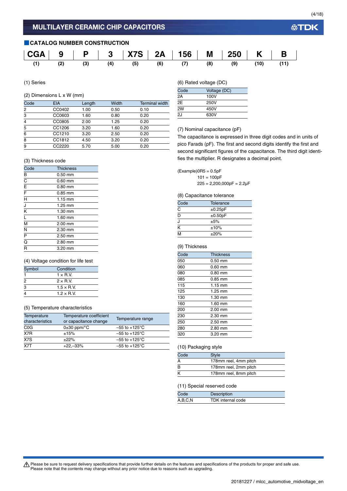#### **■CATALOG NUMBER CONSTRUCTION**



(1) Series

#### (2) Dimensions L x W (mm)

| 0.50<br>0.80 | 0.10<br>0.20 |
|--------------|--------------|
|              |              |
|              |              |
|              | 0.20         |
| 1.60         | 0.20         |
| 2.50         | 0.20         |
| 3.20         | 0.20         |
| 5.00         | 0.20         |
|              | 1.25         |

### (6) Rated voltage (DC)

| Code | Voltage (DC) |
|------|--------------|
| 2Α   | 100V         |
| 2E   | 250V         |
| 2W   | 450V         |
| 2J   | 630V         |
|      |              |

(7) Nominal capacitance (pF)

 $101 = 100pF$ 

 $±5%$ 

(8) Capacitance tolerance

Code Tolerance  $\overline{C}$   $\pm 0.25pF$  $\frac{D}{J}$   $\qquad \qquad \pm 0.50pF$ 

 $225 = 2,200,000pF = 2.2pF$ 

 $(Example)$ OR5 = 0.5pF

The capacitance is expressed in three digit codes and in units of pico Farads (pF). The first and second digits identify the first and second significant figures of the capacitance. The third digit identifies the multiplier. R designates a decimal point.

#### (3) Thickness code

| Code                      | <b>Thickness</b> |  |
|---------------------------|------------------|--|
| B                         | $0.50$ mm        |  |
| $\overline{C}$            | $0.60$ mm        |  |
| $\bar{E}$                 | $0.80$ mm        |  |
| $\overline{F}$            | 0.85 mm          |  |
| $\overline{H}$            | $1.15$ mm        |  |
| J                         | 1.25 mm          |  |
| $\overline{\mathsf{k}}$   | 1.30 mm          |  |
| ī                         | 1.60 mm          |  |
| $\overline{\mathsf{M}}$   | $2.00$ mm        |  |
| N                         | 2.30 mm          |  |
| $\overline{P}$            | $2.50$ mm        |  |
| $\overline{\overline{Q}}$ | 2.80 mm          |  |
| R                         | 3.20 mm          |  |

#### (4) Voltage condition for life test

| Symbol | Condition          |  |
|--------|--------------------|--|
|        | $1 \times R$ V.    |  |
| 2      | $2 \times R$ V     |  |
| 3      | $1.5 \times R$ .V. |  |
|        | $1.2 \times R$ V.  |  |

#### (5) Temperature characteristics

| Temperature<br>characteristics | Temperature coefficient<br>or capacitance change | Temperature range         |
|--------------------------------|--------------------------------------------------|---------------------------|
| C <sub>0</sub> G               | $0\pm 30$ ppm/ $\degree$ C                       | $-55$ to $+125^{\circ}$ C |
| X7R                            | ±15%                                             | $-55$ to $+125^{\circ}$ C |
| X7S                            | ±22%                                             | $-55$ to $+125^{\circ}$ C |
| $\overline{X7T}$               | $+22,-33%$                                       | $-55$ to $+125^{\circ}$ C |

# $M \t +20\%$

 $K = 10\%$ 

| (9) Thickness |                   |
|---------------|-------------------|
| Code          | <b>Thickness</b>  |
| 050           | $0.50$ mm         |
| 060           | $0.60$ mm         |
| 080           | $0.80$ mm         |
| 085           | $0.85$ mm         |
| 115           | $1.15 \text{ mm}$ |
| 125           | $1.25$ mm         |
| 130           | $1.30$ mm         |
| 160           | $1.60$ mm         |
| 200           | $2.00$ mm         |
| 230           | 2.30 mm           |
| 250           | $2.50$ mm         |

#### (10) Packaging style

280 2.80 mm 320 3.20 mm

| Code | <b>Style</b>          |  |
|------|-----------------------|--|
| A    | 178mm reel, 4mm pitch |  |
| B    | 178mm reel, 2mm pitch |  |
| к    | 178mm reel, 8mm pitch |  |
|      |                       |  |

#### (11) Special reserved code

| Code    | Description       |  |
|---------|-------------------|--|
| A,B,C,N | TDK internal code |  |

Please be sure to request delivery specifications that provide further details on the features and specifications of the products for proper and safe use.<br>Please note that the contents may change without any prior notice d

#### 20181227 / mlcc\_automotive\_midvoltage\_en.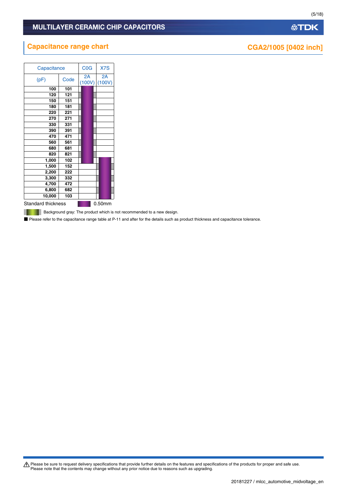# **Capacitance range chart CGA2/1005 [0402 inch]**

|                           | Capacitance |              |  |              |
|---------------------------|-------------|--------------|--|--------------|
| (pF)                      | Code        | 2A<br>(100V) |  | 2A<br>(100V) |
| 100                       | 101         |              |  |              |
| 120                       | 121         |              |  |              |
| 150                       | 151         |              |  |              |
| 180                       | 181         |              |  |              |
| 220                       | 221         |              |  |              |
| 270                       | 271         |              |  |              |
| 330                       | 331         |              |  |              |
| 390                       | 391         |              |  |              |
| 470                       | 471         |              |  |              |
| 560                       | 561         |              |  |              |
| 680                       | 681         |              |  |              |
| 820                       | 821         |              |  |              |
| 1,000                     | 102         |              |  |              |
| 1,500                     | 152         |              |  |              |
| 2,200                     | 222         |              |  |              |
| 3,300                     | 332         |              |  |              |
| 4,700                     | 472         |              |  |              |
| 6,800                     | 682         |              |  |              |
| 10,000                    | 103         |              |  |              |
| <b>Standard thickness</b> |             |              |  | 0.50mm       |

**Background gray: The product which is not recommended to a new design.** 

■ Please refer to the capacitance range table at P-11 and after for the details such as product thickness and capacitance tolerance.

Please be sure to request delivery specifications that provide further details on the features and specifications of the products for proper and safe use.<br>Please note that the contents may change without any prior notice d

(5/18)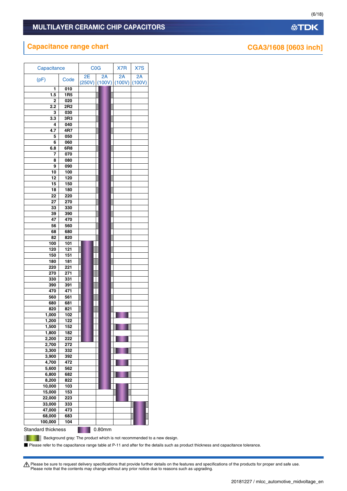# **Capacitance range chart CGA3/1608** [0603 inch]

| Capacitance               |                 | C <sub>0</sub> G |                         | X7R | X7S          |
|---------------------------|-----------------|------------------|-------------------------|-----|--------------|
| (pF)                      | Code            | 2E<br>(250V)     | 2A<br>$(100V)$ $(100V)$ | 2A  | 2A<br>(100V) |
| 1                         | 010             |                  |                         |     |              |
| 1.5                       | 1R <sub>5</sub> |                  |                         |     |              |
| 2                         | 020             |                  |                         |     |              |
| 2.2                       | 2R <sub>2</sub> |                  |                         |     |              |
| 3                         | 030             |                  |                         |     |              |
| 3.3                       | 3R3             |                  |                         |     |              |
| 4                         | 040             |                  |                         |     |              |
| 4.7                       | 4R7             |                  |                         |     |              |
| 5                         | 050             |                  |                         |     |              |
| 6                         | 060             |                  |                         |     |              |
| 6.8                       | 6R8             |                  |                         |     |              |
| 7                         | 070             |                  |                         |     |              |
| 8                         | 080             |                  |                         |     |              |
| 9                         | 090             |                  |                         |     |              |
| 10                        | 100             |                  |                         |     |              |
| 12                        | 120             |                  |                         |     |              |
| 15                        | 150             |                  |                         |     |              |
| 18                        | 180             |                  |                         |     |              |
| 22                        | 220             |                  |                         |     |              |
| 27                        | 270             |                  |                         |     |              |
| 33                        | 330             |                  |                         |     |              |
| 39                        | 390             |                  |                         |     |              |
| 47                        | 470             |                  |                         |     |              |
| 56                        | 560             |                  |                         |     |              |
| 68                        | 680             |                  |                         |     |              |
| 82                        | 820             |                  |                         |     |              |
| 100                       | 101             |                  |                         |     |              |
| 120                       | 121             |                  |                         |     |              |
| 150                       | 151<br>181      |                  |                         |     |              |
| 180<br>220                | 221             |                  |                         |     |              |
| 270                       | 271             |                  |                         |     |              |
| 330                       | 331             |                  |                         |     |              |
| 390                       | 391             |                  |                         |     |              |
| 470                       | 471             |                  |                         |     |              |
| 560                       | 561             |                  |                         |     |              |
| 680                       | 681             |                  |                         |     |              |
| 820                       | 821             |                  |                         |     |              |
| 1,000                     | 102             |                  |                         |     |              |
| 1,200                     | 122             |                  |                         |     |              |
| 1,500                     | 152             |                  |                         |     |              |
| 1,800                     | 182             |                  |                         |     |              |
| 2,200                     | 222             |                  |                         |     |              |
| 2,700                     | 272             |                  |                         |     |              |
| 3,300                     | 332             |                  |                         |     |              |
| 3,900                     | 392             |                  |                         |     |              |
| 4,700                     | 472             |                  |                         |     |              |
| 5,600                     | 562             |                  |                         |     |              |
| 6,800                     | 682             |                  |                         |     |              |
| 8,200                     | 822             |                  |                         |     |              |
| 10,000                    | 103             |                  |                         |     |              |
| 15,000                    | 153             |                  |                         |     |              |
| 22,000                    | 223             |                  |                         |     |              |
| 33,000                    | 333             |                  |                         |     |              |
| 47,000                    | 473             |                  |                         |     |              |
| 68,000                    | 683             |                  |                         |     |              |
| 100,000                   | 104             |                  |                         |     |              |
| <b>Standard thickness</b> |                 |                  | 0.80mm                  |     |              |

**Background gray: The product which is not recommended to a new design.** 

■ Please refer to the capacitance range table at P-11 and after for the details such as product thickness and capacitance tolerance.

Please be sure to request delivery specifications that provide further details on the features and specifications of the products for proper and safe use.<br>Please note that the contents may change without any prior notice d

(6/18)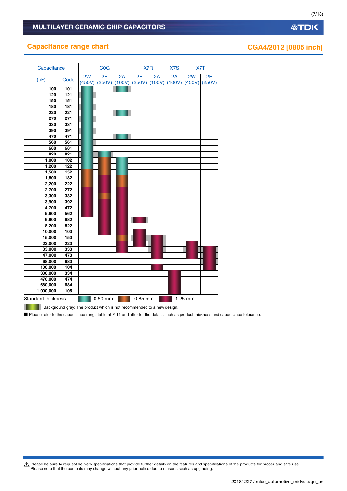# **Capacitance range chart CGA4/2012** [0805 inch]

| Capacitance               |      | C <sub>0</sub> G |              |              | X7R          |              | X7S<br>X7T   |              |              |
|---------------------------|------|------------------|--------------|--------------|--------------|--------------|--------------|--------------|--------------|
| (pF)                      | Code | 2W<br>(450V)     | 2E<br>(250V) | 2A<br>(100V) | 2E<br>(250V) | 2A<br>(100V) | 2A<br>(100V) | 2W<br>(450V) | 2E<br>(250V) |
| 100                       | 101  |                  |              |              |              |              |              |              |              |
| 120                       | 121  |                  |              |              |              |              |              |              |              |
| 150                       | 151  |                  |              |              |              |              |              |              |              |
| 180                       | 181  |                  |              |              |              |              |              |              |              |
| 220                       | 221  |                  |              |              |              |              |              |              |              |
| 270                       | 271  |                  |              |              |              |              |              |              |              |
| 330                       | 331  |                  |              |              |              |              |              |              |              |
| 390                       | 391  |                  |              |              |              |              |              |              |              |
| 470                       | 471  |                  |              |              |              |              |              |              |              |
| 560                       | 561  |                  |              |              |              |              |              |              |              |
| 680                       | 681  |                  |              |              |              |              |              |              |              |
| 820                       | 821  |                  |              |              |              |              |              |              |              |
| 1,000                     | 102  |                  |              |              |              |              |              |              |              |
| 1,200                     | 122  |                  |              |              |              |              |              |              |              |
| 1,500                     | 152  |                  |              |              |              |              |              |              |              |
| 1,800                     | 182  |                  |              |              |              |              |              |              |              |
| 2,200                     | 222  |                  |              |              |              |              |              |              |              |
| 2,700                     | 272  |                  |              |              |              |              |              |              |              |
| 3,300                     | 332  |                  |              |              |              |              |              |              |              |
| 3,900                     | 392  |                  |              |              |              |              |              |              |              |
| 4,700                     | 472  |                  |              |              |              |              |              |              |              |
| 5,600                     | 562  |                  |              |              |              |              |              |              |              |
| 6,800                     | 682  |                  |              |              |              |              |              |              |              |
| 8,200                     | 822  |                  |              |              |              |              |              |              |              |
| 10,000                    | 103  |                  |              |              |              |              |              |              |              |
| 15,000                    | 153  |                  |              |              |              |              |              |              |              |
| 22,000                    | 223  |                  |              |              |              |              |              |              |              |
| 33,000                    | 333  |                  |              |              |              |              |              |              |              |
| 47,000                    | 473  |                  |              |              |              |              |              |              |              |
| 68,000                    | 683  |                  |              |              |              |              |              |              |              |
| 100,000                   | 104  |                  |              |              |              |              |              |              |              |
| 330,000                   | 334  |                  |              |              |              |              |              |              |              |
| 470,000                   | 474  |                  |              |              |              |              |              |              |              |
| 680,000                   | 684  |                  |              |              |              |              |              |              |              |
| 1,000,000                 | 105  |                  |              |              |              |              |              |              |              |
| <b>Standard thickness</b> |      |                  | $0.60$ mm    |              | 0.85 mm      |              |              | 1.25 mm      |              |

**Background gray: The product which is not recommended to a new design.** 

■ Please refer to the capacitance range table at P-11 and after for the details such as product thickness and capacitance tolerance.

Please be sure to request delivery specifications that provide further details on the features and specifications of the products for proper and safe use.<br>Please note that the contents may change without any prior notice d

(7/18)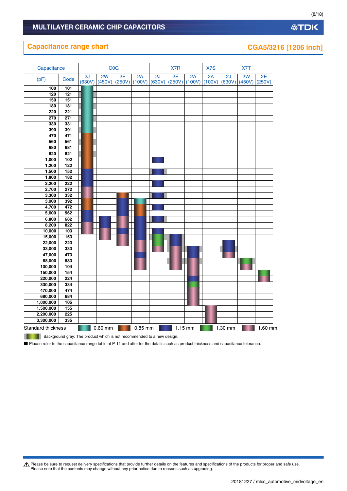# **Capacitance range chart CGA5/3216** [1206 inch]

| Capacitance                                                                                                                        |                                                                        |        | <b>C<sub>0</sub></b> |        |         |        | X7R    |           | X7S    | X7T     |        |         |
|------------------------------------------------------------------------------------------------------------------------------------|------------------------------------------------------------------------|--------|----------------------|--------|---------|--------|--------|-----------|--------|---------|--------|---------|
| (pF)                                                                                                                               | Code                                                                   | 2J     | 2W                   | 2E     | 2A      | 2J     | 2E     | 2A        | 2A     | 2J      | 2W     | 2E      |
|                                                                                                                                    |                                                                        | (630V) | (450V)               | (250V) | (100V)  | (630V) | (250V) | (100V)    | (100V) | (630V)  | (450V) | (250V)  |
| 100                                                                                                                                | 101                                                                    |        |                      |        |         |        |        |           |        |         |        |         |
| 120                                                                                                                                | 121                                                                    |        |                      |        |         |        |        |           |        |         |        |         |
| 150                                                                                                                                | 151                                                                    |        |                      |        |         |        |        |           |        |         |        |         |
| 180                                                                                                                                | 181                                                                    |        |                      |        |         |        |        |           |        |         |        |         |
| 220                                                                                                                                | 221                                                                    |        |                      |        |         |        |        |           |        |         |        |         |
| 270                                                                                                                                | 271                                                                    |        |                      |        |         |        |        |           |        |         |        |         |
| 330                                                                                                                                | 331                                                                    |        |                      |        |         |        |        |           |        |         |        |         |
| 390                                                                                                                                | 391                                                                    |        |                      |        |         |        |        |           |        |         |        |         |
| 470                                                                                                                                | 471                                                                    |        |                      |        |         |        |        |           |        |         |        |         |
| 560                                                                                                                                | 561                                                                    |        |                      |        |         |        |        |           |        |         |        |         |
| 680                                                                                                                                | 681                                                                    |        |                      |        |         |        |        |           |        |         |        |         |
| 820                                                                                                                                | 821                                                                    |        |                      |        |         |        |        |           |        |         |        |         |
| 1,000                                                                                                                              | 102                                                                    |        |                      |        |         |        |        |           |        |         |        |         |
| 1,200                                                                                                                              | 122                                                                    |        |                      |        |         |        |        |           |        |         |        |         |
| 1,500                                                                                                                              | 152                                                                    |        |                      |        |         |        |        |           |        |         |        |         |
| 1,800                                                                                                                              | 182                                                                    |        |                      |        |         |        |        |           |        |         |        |         |
| 2,200                                                                                                                              | 222                                                                    |        |                      |        |         |        |        |           |        |         |        |         |
| 2,700                                                                                                                              | 272                                                                    |        |                      |        |         |        |        |           |        |         |        |         |
| 3,300                                                                                                                              | 332                                                                    |        |                      |        |         |        |        |           |        |         |        |         |
| 3,900                                                                                                                              | 392                                                                    |        |                      |        |         |        |        |           |        |         |        |         |
| 4,700                                                                                                                              | 472                                                                    |        |                      |        |         |        |        |           |        |         |        |         |
| 5,600                                                                                                                              | 562                                                                    |        |                      |        |         |        |        |           |        |         |        |         |
| 6,800                                                                                                                              | 682                                                                    |        |                      |        |         |        |        |           |        |         |        |         |
| 8,200                                                                                                                              | 822                                                                    |        |                      |        |         |        |        |           |        |         |        |         |
| 10,000                                                                                                                             | 103                                                                    |        |                      |        |         |        |        |           |        |         |        |         |
| 15,000                                                                                                                             | 153                                                                    |        |                      |        |         |        |        |           |        |         |        |         |
| 22,000                                                                                                                             | 223                                                                    |        |                      |        |         |        |        |           |        |         |        |         |
| 33,000                                                                                                                             | 333                                                                    |        |                      |        |         |        |        |           |        |         |        |         |
| 47,000                                                                                                                             | 473                                                                    |        |                      |        |         |        |        |           |        |         |        |         |
| 68,000                                                                                                                             | 683                                                                    |        |                      |        |         |        |        |           |        |         |        |         |
| 100,000                                                                                                                            | 104                                                                    |        |                      |        |         |        |        |           |        |         |        |         |
| 150,000                                                                                                                            | 154                                                                    |        |                      |        |         |        |        |           |        |         |        |         |
| 220,000                                                                                                                            | 224                                                                    |        |                      |        |         |        |        |           |        |         |        |         |
| 330,000                                                                                                                            | 334                                                                    |        |                      |        |         |        |        |           |        |         |        |         |
| 470,000                                                                                                                            | 474                                                                    |        |                      |        |         |        |        |           |        |         |        |         |
| 680,000                                                                                                                            | 684                                                                    |        |                      |        |         |        |        |           |        |         |        |         |
| 1,000,000                                                                                                                          | 105                                                                    |        |                      |        |         |        |        |           |        |         |        |         |
| 1,500,000                                                                                                                          | 155                                                                    |        |                      |        |         |        |        |           |        |         |        |         |
| 2,200,000                                                                                                                          | 225                                                                    |        |                      |        |         |        |        |           |        |         |        |         |
| 3,300,000                                                                                                                          | 335                                                                    |        |                      |        |         |        |        |           |        |         |        |         |
| <b>Standard thickness</b>                                                                                                          |                                                                        |        | $0.60$ mm            |        | 0.85 mm |        |        | $1.15$ mm |        | 1.30 mm |        | 1.60 mm |
|                                                                                                                                    | Background gray: The product which is not recommended to a new design. |        |                      |        |         |        |        |           |        |         |        |         |
| Please refer to the capacitance range table at P-11 and after for the details such as product thickness and capacitance tolerance. |                                                                        |        |                      |        |         |        |        |           |        |         |        |         |

Please be sure to request delivery specifications that provide further details on the features and specifications of the products for proper and safe use.<br>Please note that the contents may change without any prior notice d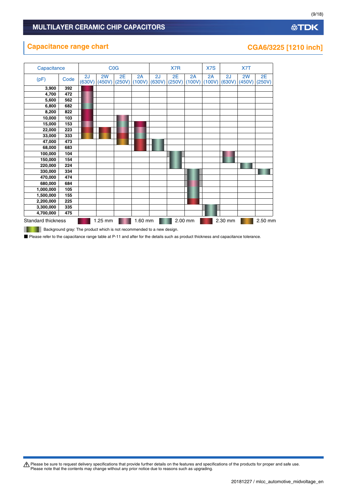# **Capacitance range chart CGA6/3225 [1210 inch]**

| Capacitance        |      |              |              | COG          |              |              | X7R          |              | X7S          |              | X7T          |              |
|--------------------|------|--------------|--------------|--------------|--------------|--------------|--------------|--------------|--------------|--------------|--------------|--------------|
| (pF)               | Code | 2J<br>(630V) | 2W<br>(450V) | 2E<br>(250V) | 2A<br>(100V) | 2J<br>(630V) | 2E<br>(250V) | 2A<br>(100V) | 2A<br>(100V) | 2J<br>(630V) | 2W<br>(450V) | 2E<br>(250V) |
| 3,900              | 392  |              |              |              |              |              |              |              |              |              |              |              |
| 4,700              | 472  |              |              |              |              |              |              |              |              |              |              |              |
| 5,600              | 562  |              |              |              |              |              |              |              |              |              |              |              |
| 6,800              | 682  |              |              |              |              |              |              |              |              |              |              |              |
| 8,200              | 822  |              |              |              |              |              |              |              |              |              |              |              |
| 10,000             | 103  |              |              |              |              |              |              |              |              |              |              |              |
| 15,000             | 153  |              |              |              |              |              |              |              |              |              |              |              |
| 22,000             | 223  |              |              |              |              |              |              |              |              |              |              |              |
| 33,000             | 333  |              |              |              |              |              |              |              |              |              |              |              |
| 47,000             | 473  |              |              |              |              |              |              |              |              |              |              |              |
| 68,000             | 683  |              |              |              |              |              |              |              |              |              |              |              |
| 100,000            | 104  |              |              |              |              |              |              |              |              |              |              |              |
| 150,000            | 154  |              |              |              |              |              |              |              |              |              |              |              |
| 220,000            | 224  |              |              |              |              |              |              |              |              |              |              |              |
| 330,000            | 334  |              |              |              |              |              |              |              |              |              |              |              |
| 470,000            | 474  |              |              |              |              |              |              |              |              |              |              |              |
| 680,000            | 684  |              |              |              |              |              |              |              |              |              |              |              |
| 1,000,000          | 105  |              |              |              |              |              |              |              |              |              |              |              |
| 1,500,000          | 155  |              |              |              |              |              |              |              |              |              |              |              |
| 2,200,000          | 225  |              |              |              |              |              |              |              |              |              |              |              |
| 3,300,000          | 335  |              |              |              |              |              |              |              |              |              |              |              |
| 4,700,000          | 475  |              |              |              |              |              |              |              |              |              |              |              |
| Standard thickness |      |              | 1.25 mm      |              | 1.60 mm      |              |              | 2.00 mm      |              | 2.30 mm      |              | 2.50 mm      |

**Background gray: The product which is not recommended to a new design.** 

■ Please refer to the capacitance range table at P-11 and after for the details such as product thickness and capacitance tolerance.

Please be sure to request delivery specifications that provide further details on the features and specifications of the products for proper and safe use.<br>Please note that the contents may change without any prior notice d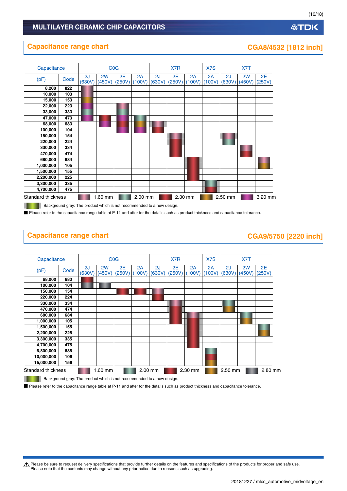### **Capacitance range chart CGA8/4532 [1812 inch]**



**Background gray: The product which is not recommended to a new design.** 

■ Please refer to the capacitance range table at P-11 and after for the details such as product thickness and capacitance tolerance.

# **Capacitance range chart CGA9/5750 [2220 inch]**



Background gray: The product which is not recommended to a new design.

■ Please refer to the capacitance range table at P-11 and after for the details such as product thickness and capacitance tolerance.

A Please be sure to request delivery specifications that provide further details on the features and specifications of the products for proper and safe use. Please note that the contents may change without any prior notice due to reasons such as upgrading.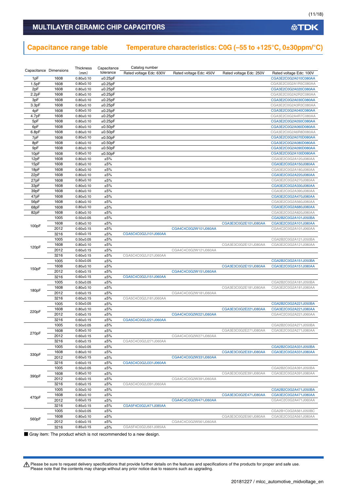#### **MULTILAYER CERAMIC CHIP CAPACITORS**

# **Capacitance range table Temperature characteristics: C0G (–55 to +125°C, 0±30ppm/°C)**

|                        |              | Thickness                        | Capacitance | Catalog number          |                         |                         |                                              |
|------------------------|--------------|----------------------------------|-------------|-------------------------|-------------------------|-------------------------|----------------------------------------------|
| Capacitance Dimensions |              | (mm)                             | tolerance   | Rated voltage Edc: 630V | Rated voltage Edc: 450V | Rated voltage Edc: 250V | Rated voltage Edc: 100V                      |
| 1pF                    | 1608         | $0.80 \pm 0.10$                  | ±0.25pF     |                         |                         |                         | CGA3E2C0G2A010C080AA                         |
| 1.5pF                  | 1608         | $0.80 + 0.10$                    | ±0.25pF     |                         |                         |                         | CGA3E2C0G2A1R5C080AA                         |
| 2pF                    | 1608         | $0.80 \pm 0.10$                  | ±0.25pF     |                         |                         |                         | CGA3E2C0G2A020C080AA                         |
| 2.2pF                  | 1608         | $0.80 \pm 0.10$                  | ±0.25pF     |                         |                         |                         | CGA3E2C0G2A2R2C080AA                         |
| 3pF                    | 1608         | $0.80 + 0.10$                    | ±0.25pF     |                         |                         |                         | CGA3E2C0G2A030C080AA                         |
| 3.3pF                  | 1608         | $0.80 \pm 0.10$                  | ±0.25pF     |                         |                         |                         | CGA3E2C0G2A3R3C080AA                         |
| 4pF                    | 1608         | $0.80 \pm 0.10$                  | ±0.25pF     |                         |                         |                         | CGA3E2C0G2A040C080AA                         |
| 4.7pF                  | 1608         | $0.80 \pm 0.10$                  | ±0.25pF     |                         |                         |                         | CGA3E2C0G2A4R7C080AA                         |
| 5pF                    | 1608         | $0.80 \pm 0.10$                  | ±0.25pF     |                         |                         |                         | CGA3E2C0G2A050C080AA                         |
| 6pF                    | 1608         | $0.80 \pm 0.10$                  | ±0.50pF     |                         |                         |                         | CGA3E2C0G2A060D080AA                         |
| 6.8pF                  | 1608         | $0.80 \pm 0.10$                  | ±0.50pF     |                         |                         |                         | CGA3E2C0G2A6R8D080AA                         |
| 7pF                    | 1608         | $0.80 + 0.10$                    | ±0.50pF     |                         |                         |                         | CGA3E2C0G2A070D080AA                         |
| 8pF                    | 1608         | $0.80 \pm 0.10$                  | ±0.50pF     |                         |                         |                         | CGA3E2C0G2A080D080AA                         |
| 9pF                    | 1608         | $0.80 \pm 0.10$                  | ±0.50pF     |                         |                         |                         | CGA3E2C0G2A090D080AA                         |
| 10pF                   | 1608         | $0.80 \pm 0.10$                  | ±0.50pF     |                         |                         |                         | CGA3E2C0G2A100D080AA                         |
| 12pF                   | 1608         | $0.80 \pm 0.10$                  | ±5%         |                         |                         |                         | CGA3E2C0G2A120J080AA                         |
| 15pF                   | 1608         | $0.80 \pm 0.10$                  | ±5%         |                         |                         |                         | CGA3E2C0G2A150J080AA                         |
| 18pF                   | 1608         | $0.80 \pm 0.10$                  | ±5%         |                         |                         |                         | CGA3E2C0G2A180J080AA                         |
| 22pF                   | 1608         | $0.80 \pm 0.10$                  | ±5%         |                         |                         |                         | CGA3E2C0G2A220J080AA                         |
| 27pF                   | 1608         | $0.80 \pm 0.10$                  | ±5%         |                         |                         |                         | CGA3E2C0G2A270J080AA                         |
| 33pF                   | 1608         | $0.80 \pm 0.10$                  | ±5%         |                         |                         |                         | CGA3E2C0G2A330J080AA                         |
| 39pF                   | 1608         | $0.80 \pm 0.10$                  | ±5%         |                         |                         |                         | CGA3E2C0G2A390J080AA                         |
| 47pF                   | 1608         | $0.80 \pm 0.10$                  | ±5%         |                         |                         |                         | CGA3E2C0G2A470J080AA                         |
| 56pF                   | 1608         | $0.80 \pm 0.10$                  | ±5%         |                         |                         |                         | CGA3E2C0G2A560J080AA                         |
| 68pF                   | 1608         | $0.80 + 0.10$                    | ±5%         |                         |                         |                         | CGA3E2C0G2A680J080AA                         |
| 82pF                   | 1608         | $0.80 + 0.10$                    | ±5%         |                         |                         |                         | CGA3E2C0G2A820J080AA                         |
|                        | 1005         | $0.50 \pm 0.05$                  | ±5%         |                         |                         |                         | CGA2B2C0G2A101J050BA                         |
| 100pF                  | 1608         | $0.80 + 0.10$                    | ±5%         |                         |                         | CGA3E3C0G2E101J080AA    | CGA3E2C0G2A101J080AA                         |
|                        | 2012         | $0.60 + 0.15$                    | ±5%         |                         | CGA4C4C0G2W101J060AA    |                         | CGA4C2C0G2A101J060AA                         |
|                        | 3216         | $0.60 \pm 0.15$                  | ±5%         | CGA5C4C0G2J101J060AA    |                         |                         |                                              |
|                        | 1005         | $0.50 \pm 0.05$                  | ±5%         |                         |                         |                         | CGA2B2C0G2A121J050BA                         |
| 120pF                  | 1608         | $0.80 + 0.10$                    | ±5%         |                         |                         | CGA3E3C0G2E121J080AA    | CGA3E2C0G2A121J080AA                         |
|                        | 2012         | $0.60 \pm 0.15$                  | ±5%         |                         | CGA4C4C0G2W121J060AA    |                         |                                              |
|                        | 3216         | $0.60 \pm 0.15$                  | ±5%         | CGA5C4C0G2J121J060AA    |                         |                         |                                              |
|                        | 1005         | $0.50 \pm 0.05$                  | ±5%         |                         |                         |                         | CGA2B2C0G2A151J050BA                         |
| 150pF                  | 1608         | $0.80 + 0.10$                    | ±5%         |                         |                         | CGA3E3C0G2E151J080AA    | CGA3E2C0G2A151J080AA                         |
|                        | 2012         | $0.60 \pm 0.15$                  | ±5%         |                         | CGA4C4C0G2W151J060AA    |                         |                                              |
|                        | 3216         | $0.60 \pm 0.15$                  | ±5%         | CGA5C4C0G2J151J060AA    |                         |                         |                                              |
|                        | 1005         | $0.50 \pm 0.05$                  | ±5%         |                         |                         |                         | CGA2B2C0G2A181J050BA                         |
| 180pF                  | 1608         | $0.80 + 0.10$                    | ±5%         |                         |                         | CGA3E3C0G2E181J080AA    | CGA3E2C0G2A181J080AA                         |
|                        | 2012         | $0.60 \pm 0.15$                  | ±5%         |                         | CGA4C4C0G2W181J060AA    |                         |                                              |
|                        | 3216         | $0.60 \pm 0.15$                  | ±5%         | CGA5C4C0G2J181J060AA    |                         |                         |                                              |
|                        | 1005         | $0.50 \pm 0.05$                  | ±5%         |                         |                         |                         | CGA2B2C0G2A221J050BA                         |
| 220pF                  | 1608         | $0.80 + 0.10$                    | ±5%         |                         |                         | CGA3E3C0G2E221J080AA    | CGA3E2C0G2A221J080AA                         |
|                        | 2012         | $0.60 \pm 0.15$                  | ±5%         |                         | CGA4C4C0G2W221J060AA    |                         | CGA4C2C0G2A221J060AA                         |
|                        | 3216         | $0.60 \pm 0.15$                  | ±5%         | CGA5C4C0G2J221J060AA    |                         |                         |                                              |
|                        | 1005         | $0.50 + 0.05$                    | ±5%         |                         |                         |                         | CGA2B2C0G2A271J050BA                         |
| 270pF                  | 1608         | $0.80 \pm 0.10$                  | ±5%         |                         |                         | CGA3E3C0G2E271J080AA    | CGA3E2C0G2A271J080AA                         |
|                        | 2012         | $0.60 \pm 0.15$                  | ±5%         |                         | CGA4C4C0G2W271J060AA    |                         |                                              |
|                        | 3216         | $0.60 \pm 0.15$                  | ±5%         | CGA5C4C0G2J271J060AA    |                         |                         |                                              |
|                        | 1005         | $0.50 \pm 0.05$                  | ±5%         |                         |                         |                         | CGA2B2C0G2A331J050BA                         |
| 330pF                  | 1608<br>2012 | $0.80 \pm 0.10$<br>$0.60 + 0.15$ | ±5%<br>±5%  |                         | CGA4C4C0G2W331J060AA    | CGA3E3C0G2E331J080AA    | CGA3E2C0G2A331J080AA                         |
|                        |              | $0.60 \pm 0.15$                  |             | CGA5C4C0G2J331J060AA    |                         |                         |                                              |
|                        | 3216<br>1005 |                                  | ±5%<br>±5%  |                         |                         |                         |                                              |
|                        |              | $0.50+0.05$                      |             |                         |                         |                         | CGA2B2C0G2A391J050BA<br>CGA3E2C0G2A391J080AA |
| 390pF                  | 1608<br>2012 | $0.80 \pm 0.10$                  | ±5%<br>±5%  |                         |                         | CGA3E3C0G2E391J080AA    |                                              |
|                        |              | $0.60 \pm 0.15$                  |             |                         | CGA4C4C0G2W391J060AA    |                         |                                              |
|                        | 3216         | $0.60 \pm 0.15$<br>$0.50 + 0.10$ | ±5%         | CGA5C4C0G2J391J060AA    |                         |                         |                                              |
|                        | 1005         |                                  | ±5%         |                         |                         | CGA3E3C0G2E471J080AA    | CGA2B2C0G2A471J050BA                         |
| 470pF                  | 1608<br>2012 | $0.80 \pm 0.10$                  | ±5%<br>±5%  |                         |                         |                         | CGA3E2C0G2A471J080AA                         |
|                        | 3216         | $0.60 \pm 0.15$                  | ±5%         |                         | CGA4C4C0G2W471J060AA    |                         | CGA4C2C0G2A471J060AA                         |
|                        | 1005         | $0.85 \pm 0.15$                  | ±5%         | CGA5F4C0G2J471J085AA    |                         |                         | CGA2B1C0G2A561J050BC                         |
|                        |              | $0.50 \pm 0.05$                  | ±5%         |                         |                         |                         |                                              |
| 560pF                  | 1608         | $0.80 \pm 0.10$                  |             |                         |                         | CGA3E3C0G2E561J080AA    | CGA3E2C0G2A561J080AA                         |
|                        | 2012         | $0.60 \pm 0.15$                  | ±5%         |                         | CGA4C4C0G2W561J060AA    |                         |                                              |
|                        | 3216         | $0.85 \pm 0.15$                  | ±5%         | CGA5F4C0G2J561J085AA    |                         |                         |                                              |

■ Gray item: The product which is not recommended to a new design.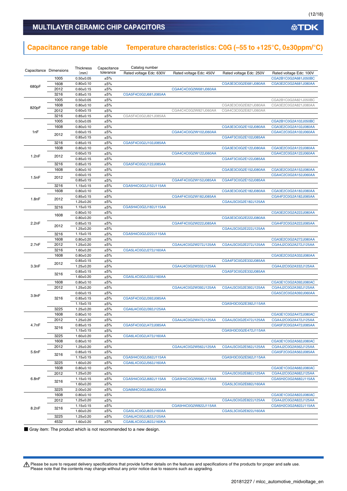#### **MULTILAYER CERAMIC CHIP CAPACITORS**

# **Capacitance range table Temperature characteristics: C0G (–55 to +125°C, 0±30ppm/°C)**

|                        |              | Thickness                          | Capacitance | Catalog number          |                         |                         |                                              |
|------------------------|--------------|------------------------------------|-------------|-------------------------|-------------------------|-------------------------|----------------------------------------------|
| Capacitance Dimensions |              | (mm)                               | tolerance   | Rated voltage Edc: 630V | Rated voltage Edc: 450V | Rated voltage Edc: 250V | Rated voltage Edc: 100V                      |
|                        | 1005         | $0.50 \pm 0.05$                    | ±5%         |                         |                         |                         | CGA2B1C0G2A681J050BC                         |
| 680pF                  | 1608         | $0.80 + 0.10$                      | ±5%         |                         |                         | CGA3E3C0G2E681J080AA    | CGA3E2C0G2A681J080AA                         |
|                        | 2012         | $0.60 \pm 0.15$                    | ±5%         |                         | CGA4C4C0G2W681J060AA    |                         |                                              |
|                        | 3216         | $0.85 \pm 0.15$                    | ±5%         | CGA5F4C0G2J681J085AA    |                         |                         |                                              |
|                        | 1005         | $0.50 \pm 0.05$                    | ±5%         |                         |                         |                         | CGA2B1C0G2A821J050BC                         |
| 820pF                  | 1608<br>2012 | $0.80 \pm 0.10$                    | ±5%         |                         |                         | CGA3E3C0G2E821J080AA    | CGA3E2C0G2A821J080AA                         |
|                        | 3216         | $0.60 \pm 0.15$<br>$0.85 \pm 0.15$ | ±5%<br>±5%  | CGA5F4C0G2J821J085AA    | CGA4C4C0G2W821J060AA    | CGA4C3C0G2E821J060AA    |                                              |
|                        | 1005         | $0.50 \pm 0.05$                    | ±5%         |                         |                         |                         | CGA2B1C0G2A102J050BC                         |
|                        | 1608         | $0.80 \pm 0.10$                    | ±5%         |                         |                         | CGA3E3C0G2E102J080AA    | CGA3E2C0G2A102J080AA                         |
| 1nF                    |              | $0.60 + 0.15$                      | ±5%         |                         | CGA4C4C0G2W102J060AA    |                         | CGA4C2C0G2A102J060AA                         |
|                        | 2012         | $0.85 \pm 0.15$                    | ±5%         |                         |                         | CGA4F3C0G2E102J085AA    |                                              |
|                        | 3216         | $0.85 \pm 0.15$                    | ±5%         | CGA5F4C0G2J102J085AA    |                         |                         |                                              |
|                        | 1608         | $0.80 + 0.10$                      | ±5%         |                         |                         | CGA3E3C0G2E122J080AA    | CGA3E2C0G2A122J080AA                         |
|                        |              | $0.60 \pm 0.15$                    | ±5%         |                         | CGA4C4C0G2W122J060AA    |                         | CGA4C2C0G2A122J060AA                         |
| 1.2nF                  | 2012         | $0.85 \pm 0.15$                    | ±5%         |                         |                         | CGA4F3C0G2E122J085AA    |                                              |
|                        | 3216         | $0.85 \pm 0.15$                    | ±5%         | CGA5F4C0G2J122J085AA    |                         |                         |                                              |
|                        | 1608         | $0.80 \pm 0.10$                    | ±5%         |                         |                         | CGA3E3C0G2E152J080AA    | CGA3E2C0G2A152J080AA                         |
| 1.5nF                  | 2012         | $0.60 \pm 0.15$                    | ±5%         |                         |                         |                         | CGA4C2C0G2A152J060AA                         |
|                        |              | $0.85 \pm 0.15$                    | ±5%         |                         | CGA4F4C0G2W152J085AA    | CGA4F3C0G2E152J085AA    |                                              |
|                        | 3216         | $1.15 \pm 0.15$                    | ±5%         | CGA5H4C0G2J152J115AA    |                         |                         |                                              |
|                        | 1608         | $0.80 \pm 0.10$                    | ±5%         |                         |                         | CGA3E3C0G2E182J080AA    | CGA3E2C0G2A182J080AA                         |
| 1.8nF                  | 2012         | $0.85 \pm 0.15$                    | ±5%         |                         | CGA4F4C0G2W182J085AA    |                         | CGA4F2C0G2A182J085AA                         |
|                        |              | $1.25 \pm 0.20$                    | ±5%         |                         |                         | CGA4J3C0G2E182J125AA    |                                              |
|                        | 3216         | $1.15 \pm 0.15$                    | ±5%         | CGA5H4C0G2J182J115AA    |                         |                         |                                              |
|                        | 1608         | $0.80 \pm 0.10$                    | ±5%         |                         |                         |                         | CGA3E2C0G2A222J080AA                         |
|                        |              | $0.80 \pm 0.20$                    | ±5%         |                         |                         | CGA3E3C0G2E222J080AA    |                                              |
| 2.2nF                  | 2012         | $0.85 \pm 0.15$                    | ±5%         |                         | CGA4F4C0G2W222J085AA    |                         | CGA4F2C0G2A222J085AA                         |
|                        |              | $1.25 \pm 0.20$                    | ±5%         |                         |                         | CGA4J3C0G2E222J125AA    |                                              |
|                        | 3216<br>1608 | $1.15 \pm 0.15$                    | ±5%<br>±5%  | CGA5H4C0G2J222J115AA    |                         |                         | CGA3E2C0G2A272J080AA                         |
| 2.7nF                  | 2012         | $0.80 \pm 0.20$<br>$1.25 \pm 0.20$ | ±5%         |                         | CGA4J4C0G2W272J125AA    | CGA4J3C0G2E272J125AA    | CGA4J2C0G2A272J125AA                         |
|                        | 3216         | $1.60 \pm 0.20$                    | ±5%         | CGA5L4C0G2J272J160AA    |                         |                         |                                              |
|                        | 1608         | $0.80 \pm 0.20$                    | ±5%         |                         |                         |                         | CGA3E2C0G2A332J080AA                         |
|                        |              | $0.85 \pm 0.15$                    | ±5%         |                         |                         | CGA4F3C0G2E332J085AA    |                                              |
| 3.3nF                  | 2012         | $1.25 \pm 0.20$                    | ±5%         |                         | CGA4J4C0G2W332J125AA    |                         | CGA4J2C0G2A332J125AA                         |
|                        |              | $0.85 \pm 0.15$                    | ±5%         |                         |                         | CGA5F3C0G2E332J085AA    |                                              |
|                        | 3216         | $1.60 \pm 0.20$                    | ±5%         | CGA5L4C0G2J332J160AA    |                         |                         |                                              |
|                        | 1608         | $0.80 \pm 0.10$                    | ±5%         |                         |                         |                         | CGA3E1C0G2A392J080AC                         |
|                        | 2012         | $1.25 \pm 0.20$                    | ±5%         |                         | CGA4J4C0G2W392J125AA    | CGA4J3C0G2E392J125AA    | CGA4J2C0G2A392J125AA                         |
|                        |              | $0.60 \pm 0.15$                    | ±5%         |                         |                         |                         | CGA5C2C0G2A392J060AA                         |
| 3.9nF                  | 3216         | $0.85 \pm 0.15$                    | ±5%         | CGA5F4C0G2J392J085AA    |                         |                         |                                              |
|                        |              | $1.15 \pm 0.15$                    | ±5%         |                         |                         | CGA5H3C0G2E392J115AA    |                                              |
|                        | 3225         | $1.25 \pm 0.20$                    | ±5%         | CGA6J4C0G2J392J125AA    |                         |                         |                                              |
|                        | 1608         | $0.80 + 0.10$                      | ±5%         |                         |                         |                         | CGA3E1C0G2A472J080AC                         |
|                        | 2012         | $1.25 \pm 0.20$                    | ±5%         |                         | CGA4J4C0G2W472J125AA    | CGA4J3C0G2E472J125AA    | CGA4J2C0G2A472J125AA                         |
| 4.7nF                  | 3216         | $0.85 \pm 0.15$                    | ±5%         | CGA5F4C0G2J472J085AA    |                         |                         | CGA5F2C0G2A472J085AA                         |
|                        |              | $1.15 \pm 0.15$                    | ±5%         |                         |                         | CGA5H3C0G2E472J115AA    |                                              |
|                        | 3225         | $1.60 \pm 0.20$                    | ±5%         | CGA6L4C0G2J472J160AA    |                         |                         |                                              |
|                        | 1608<br>2012 | $0.80 \pm 0.10$                    | ±5%         |                         | CGA4J4C0G2W562J125AA    | CGA4J3C0G2E562J125AA    | CGA3E1C0G2A562J080AC                         |
| 5.6nF                  |              | $1.25 \pm 0.20$                    | ±5%<br>±5%  |                         |                         |                         | CGA4J2C0G2A562J125AA<br>CGA5F2C0G2A562J085AA |
|                        | 3216         | $0.85 \pm 0.15$<br>$1.15 \pm 0.15$ | ±5%         | CGA5H4C0G2J562J115AA    |                         | CGA5H3C0G2E562J115AA    |                                              |
|                        | 3225         | $1.60 + 0.20$                      | ±5%         | CGA6L4C0G2J562J160AA    |                         |                         |                                              |
|                        | 1608         | $0.80 \pm 0.10$                    | ±5%         |                         |                         |                         | CGA3E1C0G2A682J080AC                         |
|                        | 2012         | $1.25 \pm 0.20$                    | ±5%         |                         |                         | CGA4J3C0G2E682J125AA    | CGA4J2C0G2A682J125AA                         |
| 6.8nF                  |              | $1.15 \pm 0.15$                    | ±5%         | CGA5H4C0G2J682J115AA    | CGA5H4C0G2W682J115AA    |                         | CGA5H2C0G2A682J115AA                         |
|                        | 3216         | $1.60 \pm 0.20$                    | ±5%         |                         |                         | CGA5L3C0G2E682J160AA    |                                              |
|                        | 3225         | $2.00 \pm 0.20$                    | ±5%         | CGA6M4C0G2J682J200AA    |                         |                         |                                              |
|                        | 1608         | $0.80 \pm 0.10$                    | ±5%         |                         |                         |                         | CGA3E1C0G2A822J080AC                         |
|                        | 2012         | $1.25 \pm 0.20$                    | ±5%         |                         |                         | CGA4J3C0G2E822J125AA    | CGA4J2C0G2A822J125AA                         |
|                        |              | $1.15 \pm 0.15$                    | ±5%         |                         | CGA5H4C0G2W822J115AA    |                         | CGA5H2C0G2A822J115AA                         |
| 8.2nF                  | 3216         | $1.60 \pm 0.20$                    | ±5%         | CGA5L4C0G2J822J160AA    |                         | CGA5L3C0G2E822J160AA    |                                              |
|                        | 3225         | $1.25 \pm 0.20$                    | ±5%         | CGA6J4C0G2J822J125AA    |                         |                         |                                              |
|                        | 4532         | $1.60 \pm 0.20$                    | ±5%         | CGA8L4C0G2J822J160KA    |                         |                         |                                              |

■ Gray item: The product which is not recommended to a new design.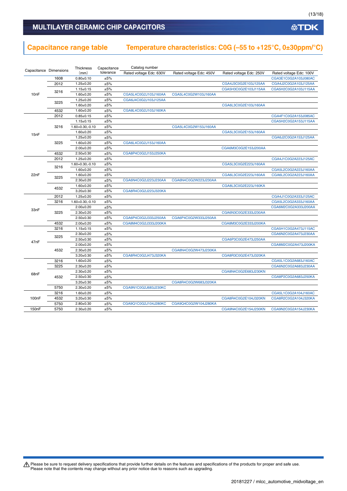#### (13/18)

**公TDK** 

### **MULTILAYER CERAMIC CHIP CAPACITORS**

# **Capacitance range table Temperature characteristics: C0G (–55 to +125°C, 0±30ppm/°C)**

|                    |                        | Thickness            | Capacitance | Catalog number          |                         |                         |                         |
|--------------------|------------------------|----------------------|-------------|-------------------------|-------------------------|-------------------------|-------------------------|
|                    | Capacitance Dimensions | (mm)                 | tolerance   | Rated voltage Edc: 630V | Rated voltage Edc: 450V | Rated voltage Edc: 250V | Rated voltage Edc: 100V |
|                    | 1608                   | $0.80 \pm 0.10$      | ±5%         |                         |                         |                         | CGA3E1C0G2A103J080AC    |
|                    | 2012                   | $1.25 \pm 0.20$      | ±5%         |                         |                         | CGA4J3C0G2E103J125AA    | CGA4J2C0G2A103J125AA    |
|                    | 3216                   | $1.15 \pm 0.15$      | ±5%         |                         |                         | CGA5H3C0G2E103J115AA    | CGA5H2C0G2A103J115AA    |
| 10nF               |                        | $1.60 + 0.20$        | ±5%         | CGA5L4C0G2J103J160AA    | CGA5L4C0G2W103J160AA    |                         |                         |
|                    |                        | $1.25 \pm 0.20$      | ±5%         | CGA6J4C0G2J103J125AA    |                         |                         |                         |
|                    | 3225                   | $1.60 + 0.20$        | ±5%         |                         |                         | CGA6L3C0G2E103J160AA    |                         |
|                    | 4532                   | $1.60 \pm 0.20$      | ±5%         | CGA8L4C0G2J103J160KA    |                         |                         |                         |
|                    | 2012                   | $0.85 \pm 0.15$      | ±5%         |                         |                         |                         | CGA4F1C0G2A153J085AC    |
|                    |                        | $1.15 \pm 0.15$      | ±5%         |                         |                         |                         | CGA5H2C0G2A153J115AA    |
|                    | 3216                   | $1.60 + 0.30, -0.10$ | ±5%         |                         | CGA5L4C0G2W153J160AA    |                         |                         |
|                    |                        | $1.60 \pm 0.20$      | ±5%         |                         |                         | CGA5L3C0G2E153J160AA    |                         |
| 15nF               |                        | $1.25 \pm 0.20$      | ±5%         |                         |                         |                         | CGA6J2C0G2A153J125AA    |
|                    | 3225                   | $1.60 + 0.20$        | ±5%         | CGA6L4C0G2J153J160AA    |                         |                         |                         |
|                    |                        | $2.00 \pm 0.20$      | ±5%         |                         |                         | CGA6M3C0G2E153J200AA    |                         |
|                    | 4532                   | $2.50 \pm 0.30$      | ±5%         | CGA8P4C0G2J153J250KA    |                         |                         |                         |
|                    | 2012                   | $1.25 \pm 0.20$      | ±5%         |                         |                         |                         | CGA4J1C0G2A223J125AC    |
|                    |                        | $1.60 + 0.30, -0.10$ | ±5%         |                         |                         | CGA5L3C0G2E223J160AA    |                         |
|                    | 3216                   | $1.60 + 0.20$        | ±5%         |                         |                         |                         | CGA5L2C0G2A223J160AA    |
| 22nF               |                        | $1.60 \pm 0.20$      | ±5%         |                         |                         | CGA6L3C0G2E223J160AA    | CGA6L2C0G2A223J160AA    |
|                    | 3225                   | $2.30 \pm 0.20$      | ±5%         | CGA6N4C0G2J223J230AA    | CGA6N4C0G2W223J230AA    |                         |                         |
|                    |                        | $1.60 \pm 0.20$      | ±5%         |                         |                         | CGA8L3C0G2E223J160KA    |                         |
|                    | 4532                   | $3.20 \pm 0.30$      | ±5%         | CGA8R4C0G2J223J320KA    |                         |                         |                         |
|                    | 2012                   | $1.25 \pm 0.20$      | ±5%         |                         |                         |                         | CGA4J1C0G2A333J125AC    |
|                    | 3216                   | $1.60 + 0.30, -0.10$ | ±5%         |                         |                         |                         | CGA5L2C0G2A333J160AA    |
|                    |                        | $2.00 \pm 0.20$      | ±5%         |                         |                         |                         | CGA6M2C0G2A333J200AA    |
| 33nF               | 3225                   | $2.30 \pm 0.20$      | ±5%         |                         |                         | CGA6N3C0G2E333J230AA    |                         |
|                    |                        | $2.50 \pm 0.30$      | ±5%         | CGA6P4C0G2J333J250AA    | CGA6P4C0G2W333J250AA    |                         |                         |
|                    | 4532                   | $2.00 \pm 0.20$      | ±5%         | CGA8M4C0G2J333J200KA    |                         | CGA8M3C0G2E333J200KA    |                         |
|                    | 3216                   | $1.15 \pm 0.15$      | ±5%         |                         |                         |                         | CGA5H1C0G2A473J115AC    |
|                    |                        | $2.30 \pm 0.20$      | ±5%         |                         |                         |                         | CGA6N2C0G2A473J230AA    |
|                    | 3225                   | $2.50 \pm 0.30$      | ±5%         |                         |                         | CGA6P3C0G2E473J250AA    |                         |
| 47nF               |                        | $2.00 \pm 0.20$      | ±5%         |                         |                         |                         | CGA8M2C0G2A473J200KA    |
|                    | 4532                   | $2.30 \pm 0.20$      | ±5%         |                         | CGA8N4C0G2W473J230KA    |                         |                         |
|                    |                        | $3.20 \pm 0.30$      | ±5%         | CGA8R4C0G2J473J320KA    |                         | CGA8R3C0G2E473J320KA    |                         |
|                    | 3216                   | $1.60 + 0.20$        | ±5%         |                         |                         |                         | CGA5L1C0G2A683J160AC    |
|                    | 3225                   | $2.30 \pm 0.20$      | ±5%         |                         |                         |                         | CGA6N2C0G2A683J230AA    |
|                    |                        | $2.30 \pm 0.20$      | ±5%         |                         |                         | CGA8N4C0G2E683J230KN    |                         |
| 68nF               | 4532                   |                      | ±5%         |                         |                         |                         | CGA8P2C0G2A683J250KA    |
|                    |                        | $2.50 \pm 0.30$      |             |                         | CGA8R4C0G2W683J320KA    |                         |                         |
|                    | 5750                   | $3.20 \pm 0.30$      | ±5%<br>±5%  |                         |                         |                         |                         |
|                    |                        | $2.30 \pm 0.20$      |             | CGA9N1C0G2J683J230KC    |                         |                         |                         |
|                    | 3216                   | $1.60 \pm 0.20$      | ±5%         |                         |                         |                         | CGA5L1C0G2A104J160AC    |
| 100 <sub>n</sub> F | 4532                   | $3.20 \pm 0.30$      | ±5%         |                         |                         | CGA8R4C0G2E104J320KN    | CGA8R2C0G2A104J320KA    |
|                    | 5750                   | $2.80 \pm 0.30$      | ±5%         | CGA9Q1C0G2J104J280KC    | CGA9Q4C0G2W104J280KA    |                         |                         |
| 150nF              | 5750                   | $2.30 \pm 0.20$      | ±5%         |                         |                         | CGA9N4C0G2E154J230KN    | CGA9N2C0G2A154J230KA    |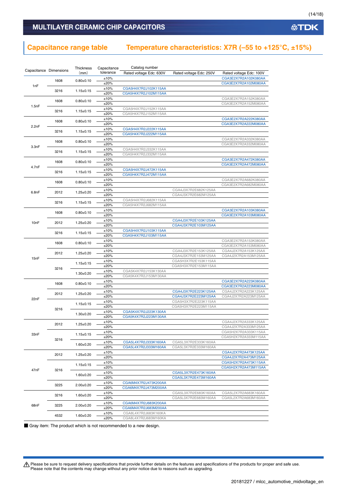### **MULTILAYER CERAMIC CHIP CAPACITORS**

### **Capacitance range table Temperature characteristics: X7R (–55 to +125°C, ±15%)**

| Capacitance Dimensions |      | Thickness       | Capacitance  | Catalog number                               |                                              |                                              |
|------------------------|------|-----------------|--------------|----------------------------------------------|----------------------------------------------|----------------------------------------------|
|                        |      | (mm)            | tolerance    | Rated voltage Edc: 630V                      | Rated voltage Edc: 250V                      | Rated voltage Edc: 100V                      |
|                        | 1608 | $0.80 + 0.10$   | ±10%         |                                              |                                              | CGA3E2X7R2A102K080AA                         |
| 1nF                    |      |                 | ±20%         |                                              |                                              | CGA3E2X7R2A102M080AA                         |
|                        | 3216 | $1.15 \pm 0.15$ | ±10%         | CGA5H4X7R2J102K115AA                         |                                              |                                              |
|                        |      |                 | ±20%         | CGA5H4X7R2J102M115AA                         |                                              |                                              |
|                        | 1608 | $0.80 + 0.10$   | ±10%<br>±20% |                                              |                                              | CGA3E2X7R2A152K080AA<br>CGA3E2X7R2A152M080AA |
| 1.5nF                  |      |                 | ±10%         | CGA5H4X7R2J152K115AA                         |                                              |                                              |
|                        | 3216 | $1.15 \pm 0.15$ | ±20%         | CGA5H4X7R2J152M115AA                         |                                              |                                              |
|                        |      |                 | ±10%         |                                              |                                              | CGA3E2X7R2A222K080AA                         |
|                        | 1608 | $0.80 \pm 0.10$ | ±20%         |                                              |                                              | CGA3E2X7R2A222M080AA                         |
| 2.2nF                  | 3216 | $1.15 \pm 0.15$ | ±10%         | CGA5H4X7R2J222K115AA                         |                                              |                                              |
|                        |      |                 | ±20%         | CGA5H4X7R2J222M115AA                         |                                              |                                              |
|                        | 1608 | $0.80 + 0.10$   | ±10%         |                                              |                                              | CGA3E2X7R2A332K080AA                         |
| 3.3nF                  |      |                 | ±20%         |                                              |                                              | CGA3E2X7R2A332M080AA                         |
|                        | 3216 | $1.15 \pm 0.15$ | ±10%         | CGA5H4X7R2J332K115AA                         |                                              |                                              |
|                        |      |                 | ±20%         | CGA5H4X7R2J332M115AA                         |                                              |                                              |
|                        | 1608 | $0.80 + 0.10$   | ±10%<br>±20% |                                              |                                              | CGA3E2X7R2A472K080AA<br>CGA3E2X7R2A472M080AA |
| 4.7nF                  |      |                 | ±10%         | CGA5H4X7R2J472K115AA                         |                                              |                                              |
|                        | 3216 | $1.15 \pm 0.15$ | ±20%         | CGA5H4X7R2J472M115AA                         |                                              |                                              |
|                        |      |                 | ±10%         |                                              |                                              | CGA3E2X7R2A682K080AA                         |
|                        | 1608 | $0.80 + 0.10$   | ±20%         |                                              |                                              | CGA3E2X7R2A682M080AA                         |
| 6.8nF                  | 2012 |                 | ±10%         |                                              | CGA4J3X7R2E682K125AA                         |                                              |
|                        |      | $1.25 \pm 0.20$ | ±20%         |                                              | CGA4J3X7R2E682M125AA                         |                                              |
|                        | 3216 | $1.15 \pm 0.15$ | ±10%         | CGA5H4X7R2J682K115AA                         |                                              |                                              |
|                        |      |                 | ±20%         | CGA5H4X7R2J682M115AA                         |                                              |                                              |
|                        | 1608 | $0.80 + 0.10$   | ±10%         |                                              |                                              | CGA3E2X7R2A103K080AA                         |
|                        |      |                 | ±20%         |                                              |                                              | CGA3E2X7R2A103M080AA                         |
| 10nF                   | 2012 | $1.25 \pm 0.20$ | ±10%<br>±20% |                                              | CGA4J3X7R2E103K125AA<br>CGA4J3X7R2E103M125AA |                                              |
|                        |      |                 | ±10%         | CGA5H4X7R2J103K115AA                         |                                              |                                              |
|                        | 3216 | $1.15 \pm 0.15$ | ±20%         | CGA5H4X7R2J103M115AA                         |                                              |                                              |
|                        |      |                 | ±10%         |                                              |                                              | CGA3E2X7R2A153K080AA                         |
|                        | 1608 | $0.80 + 0.10$   | ±20%         |                                              |                                              | CGA3E2X7R2A153M080AA                         |
|                        |      |                 | ±10%         |                                              | CGA4J3X7R2E153K125AA                         | CGA4J2X7R2A153K125AA                         |
| 15nF                   | 2012 | $1.25 \pm 0.20$ | ±20%         |                                              | CGA4J3X7R2E153M125AA                         | CGA4J2X7R2A153M125AA                         |
|                        |      | $1.15 \pm 0.15$ | ±10%         |                                              | CGA5H3X7R2E153K115AA                         |                                              |
|                        | 3216 |                 | ±20%         |                                              | CGA5H3X7R2E153M115AA                         |                                              |
|                        |      | $1.30 \pm 0.20$ | ±10%         | CGA5K4X7R2J153K130AA                         |                                              |                                              |
|                        |      |                 | ±20%         | CGA5K4X7R2J153M130AA                         |                                              |                                              |
|                        | 1608 | $0.80 \pm 0.10$ | ±10%<br>±20% |                                              |                                              | CGA3E2X7R2A223K080AA                         |
|                        |      |                 | ±10%         |                                              | CGA4J3X7R2E223K125AA                         | CGA3E2X7R2A223M080AA<br>CGA4J2X7R2A223K125AA |
|                        | 2012 | $1.25 \pm 0.20$ | ±20%         |                                              | CGA4J3X7R2E223M125AA                         | CGA4J2X7R2A223M125AA                         |
| 22nF                   |      |                 | ±10%         |                                              | CGA5H3X7R2E223K115AA                         |                                              |
|                        |      | $1.15 \pm 0.15$ | ±20%         |                                              | CGA5H3X7R2E223M115AA                         |                                              |
|                        | 3216 |                 | ±10%         | CGA5K4X7R2J223K130AA                         |                                              |                                              |
|                        |      | $1.30 \pm 0.20$ | ±20%         | CGA5K4X7R2J223M130AA                         |                                              |                                              |
|                        | 2012 | $1.25 \pm 0.20$ | ±10%         |                                              |                                              | CGA4J2X7R2A333K125AA                         |
|                        |      |                 | ±20%         |                                              |                                              | CGA4J2X7R2A333M125AA                         |
| 33nF                   |      | $1.15 \pm 0.15$ | ±10%         |                                              |                                              | CGA5H2X7R2A333K115AA                         |
|                        | 3216 |                 | ±20%         |                                              |                                              | CGA5H2X7R2A333M115AA                         |
|                        |      | $1.60 \pm 0.20$ | ±10%         | CGA5L4X7R2J333K160AA                         | CGA5L3X7R2E333K160AA                         |                                              |
|                        |      |                 | ±20%<br>±10% | CGA5L4X7R2J333M160AA                         | CGA5L3X7R2E333M160AA                         | CGA4J2X7R2A473K125AA                         |
|                        | 2012 | $1.25 \pm 0.20$ | ±20%         |                                              |                                              | CGA4J2X7R2A473M125AA                         |
|                        |      |                 | ±10%         |                                              |                                              | CGA5H2X7R2A473K115AA                         |
|                        |      | $1.15 \pm 0.15$ | ±20%         |                                              |                                              | CGA5H2X7R2A473M115AA                         |
| 47nF                   | 3216 |                 | ±10%         |                                              | CGA5L3X7R2E473K160AA                         |                                              |
|                        |      | $1.60 \pm 0.20$ | ±20%         |                                              | CGA5L3X7R2E473M160AA                         |                                              |
|                        | 3225 | $2.00 \pm 0.20$ | ±10%         | CGA6M4X7R2J473K200AA                         |                                              |                                              |
|                        |      |                 | ±20%         | CGA6M4X7R2J473M200AA                         |                                              |                                              |
|                        | 3216 | $1.60 \pm 0.20$ | ±10%         |                                              | CGA5L3X7R2E683K160AA                         | CGA5L2X7R2A683K160AA                         |
|                        |      |                 | ±20%         |                                              | CGA5L3X7R2E683M160AA                         | CGA5L2X7R2A683M160AA                         |
| 68nF                   | 3225 | $2.00 \pm 0.20$ | ±10%         | CGA6M4X7R2J683K200AA                         |                                              |                                              |
|                        |      |                 | ±20%         | CGA6M4X7R2J683M200AA                         |                                              |                                              |
|                        | 4532 | $1.60 \pm 0.20$ | ±10%<br>±20% | CGA8L4X7R2J683K160KA<br>CGA8L4X7R2J683M160KA |                                              |                                              |
|                        |      |                 |              |                                              |                                              |                                              |

■ Gray item: The product which is not recommended to a new design.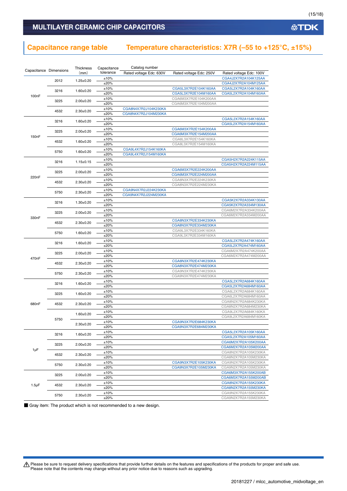### **Capacitance range table Temperature characteristics: X7R (–55 to +125°C, ±15%)**

| Capacitance Dimensions |      | Thickness       | Capacitance | Catalog number          |                         |                         |
|------------------------|------|-----------------|-------------|-------------------------|-------------------------|-------------------------|
|                        |      | (mm)            | tolerance   | Rated voltage Edc: 630V | Rated voltage Edc: 250V | Rated voltage Edc: 100V |
|                        | 2012 |                 | ±10%        |                         |                         | CGA4J2X7R2A104K125AA    |
|                        |      | $1.25 \pm 0.20$ | ±20%        |                         |                         | CGA4J2X7R2A104M125AA    |
|                        |      |                 | ±10%        |                         | CGA5L3X7R2E104K160AA    | CGA5L2X7R2A104K160AA    |
|                        | 3216 | $1.60 \pm 0.20$ | ±20%        |                         | CGA5L3X7R2E104M160AA    | CGA5L2X7R2A104M160AA    |
| 100 <sub>n</sub> F     |      |                 | ±10%        |                         | CGA6M3X7R2E104K200AA    |                         |
|                        | 3225 | $2.00 \pm 0.20$ | ±20%        |                         | CGA6M3X7R2E104M200AA    |                         |
|                        |      |                 | ±10%        | CGA8N4X7R2J104K230KA    |                         |                         |
|                        | 4532 | $2.30 \pm 0.20$ | ±20%        | CGA8N4X7R2J104M230KA    |                         |                         |
|                        |      |                 | ±10%        |                         |                         | CGA5L2X7R2A154K160AA    |
|                        | 3216 | $1.60 \pm 0.20$ | ±20%        |                         |                         | CGA5L2X7R2A154M160AA    |
|                        |      |                 | ±10%        |                         | CGA6M3X7R2E154K200AA    |                         |
|                        | 3225 | $2.00 \pm 0.20$ | ±20%        |                         | CGA6M3X7R2E154M200AA    |                         |
| 150nF                  |      |                 | ±10%        |                         | CGA8L3X7R2E154K160KA    |                         |
|                        | 4532 | $1.60 + 0.20$   | ±20%        |                         | CGA8L3X7R2E154M160KA    |                         |
|                        |      |                 | ±10%        | CGA9L4X7R2J154K160KA    |                         |                         |
|                        | 5750 | $1.60 \pm 0.20$ | ±20%        | CGA9L4X7R2J154M160KA    |                         |                         |
|                        |      |                 | ±10%        |                         |                         | CGA5H2X7R2A224K115AA    |
|                        | 3216 | $1.15 \pm 0.15$ |             |                         |                         |                         |
|                        |      |                 | ±20%        |                         |                         | CGA5H2X7R2A224M115AA    |
|                        | 3225 | $2.00 \pm 0.20$ | ±10%        |                         | CGA6M3X7R2E224K200AA    |                         |
| 220nF                  |      |                 | ±20%        |                         | CGA6M3X7R2E224M200AA    |                         |
|                        | 4532 | $2.30 \pm 0.20$ | ±10%        |                         | CGA8N3X7R2E224K230KA    |                         |
|                        |      |                 | ±20%        |                         | CGA8N3X7R2E224M230KA    |                         |
|                        | 5750 | $2.30 \pm 0.20$ | ±10%        | CGA9N4X7R2J224K230KA    |                         |                         |
|                        |      |                 | ±20%        | CGA9N4X7R2J224M230KA    |                         |                         |
|                        | 3216 | $1.30 \pm 0.20$ | ±10%        |                         |                         | CGA5K2X7R2A334K130AA    |
|                        |      |                 | ±20%        |                         |                         | CGA5K2X7R2A334M130AA    |
|                        | 3225 | $2.00 \pm 0.20$ | ±10%        |                         |                         | CGA6M2X7R2A334K200AA    |
| 330nF                  |      |                 | ±20%        |                         |                         | CGA6M2X7R2A334M200AA    |
|                        | 4532 | $2.30 \pm 0.20$ | ±10%        |                         | CGA8N3X7R2E334K230KA    |                         |
|                        |      |                 | ±20%        |                         | CGA8N3X7R2E334M230KA    |                         |
|                        | 5750 | $1.60 \pm 0.20$ | ±10%        |                         | CGA9L3X7R2E334K160KA    |                         |
|                        |      |                 | ±20%        |                         | CGA9L3X7R2E334M160KA    |                         |
|                        | 3216 | $1.60 + 0.20$   | ±10%        |                         |                         | CGA5L2X7R2A474K160AA    |
|                        |      |                 | ±20%        |                         |                         | CGA5L2X7R2A474M160AA    |
|                        | 3225 | $2.00+0.20$     | ±10%        |                         |                         | CGA6M2X7R2A474K200AA    |
| 470nF                  |      |                 | ±20%        |                         |                         | CGA6M2X7R2A474M200AA    |
|                        | 4532 | $2.30 \pm 0.20$ | ±10%        |                         | CGA8N3X7R2E474K230KA    |                         |
|                        |      |                 | ±20%        |                         | CGA8N3X7R2E474M230KA    |                         |
|                        | 5750 | $2.30 \pm 0.20$ | ±10%        |                         | CGA9N3X7R2E474K230KA    |                         |
|                        |      |                 | ±20%        |                         | CGA9N3X7R2E474M230KA    |                         |
|                        |      |                 | ±10%        |                         |                         | CGA5L2X7R2A684K160AA    |
|                        | 3216 | $1.60 \pm 0.20$ | ±20%        |                         |                         | CGA5L2X7R2A684M160AA    |
|                        |      |                 | ±10%        |                         |                         | CGA6L2X7R2A684K160AA    |
|                        | 3225 | $1.60 \pm 0.20$ | ±20%        |                         |                         | CGA6L2X7R2A684M160AA    |
|                        |      |                 | ±10%        |                         |                         | CGA8N2X7R2A684K230KA    |
| 680nF                  | 4532 | $2.30 \pm 0.20$ | ±20%        |                         |                         | CGA8N2X7R2A684M230KA    |
|                        |      |                 | ±10%        |                         |                         | CGA9L2X7R2A684K160KA    |
|                        |      | $1.60 \pm 0.20$ | ±20%        |                         |                         | CGA9L2X7R2A684M160KA    |
|                        | 5750 |                 | ±10%        |                         | CGA9N3X7R2E684K230KA    |                         |
|                        |      | $2.30+0.20$     | ±20%        |                         | CGA9N3X7R2E684M230KA    |                         |
|                        |      |                 | ±10%        |                         |                         | CGA5L2X7R2A105K160AA    |
|                        | 3216 | $1.60 + 0.20$   | ±20%        |                         |                         | CGA5L2X7R2A105M160AA    |
|                        |      |                 | ±10%        |                         |                         | CGA6M2X7R2A105K200AA    |
|                        | 3225 | $2.00 \pm 0.20$ |             |                         |                         |                         |
| 1µF                    |      |                 | ±20%        |                         |                         | CGA6M2X7R2A105M200AA    |
|                        | 4532 | $2.30 \pm 0.20$ | ±10%        |                         |                         | CGA8N2X7R2A105K230KA    |
|                        |      |                 | ±20%        |                         |                         | CGA8N2X7R2A105M230KA    |
|                        | 5750 | $2.30 \pm 0.20$ | ±10%        |                         | CGA9N3X7R2E105K230KA    | CGA9N2X7R2A105K230KA    |
|                        |      |                 | ±20%        |                         | CGA9N3X7R2E105M230KA    | CGA9N2X7R2A105M230KA    |
|                        | 3225 | $2.00 \pm 0.20$ | ±10%        |                         |                         | CGA6M3X7R2A155K200AB    |
|                        |      |                 | ±20%        |                         |                         | CGA6M3X7R2A155M200AB    |
| $1.5 \mu F$            | 4532 | $2.30 \pm 0.20$ | ±10%        |                         |                         | CGA8N2X7R2A155K230KA    |
|                        |      |                 | ±20%        |                         |                         | CGA8N2X7R2A155M230KA    |
|                        | 5750 | $2.30 \pm 0.20$ | ±10%        |                         |                         | CGA9N2X7R2A155K230KA    |
|                        |      |                 | ±20%        |                         |                         | CGA9N2X7R2A155M230KA    |

■ Gray item: The product which is not recommended to a new design.

Please be sure to request delivery specifications that provide further details on the features and specifications of the products for proper and safe use.<br>Please note that the contents may change without any prior notice d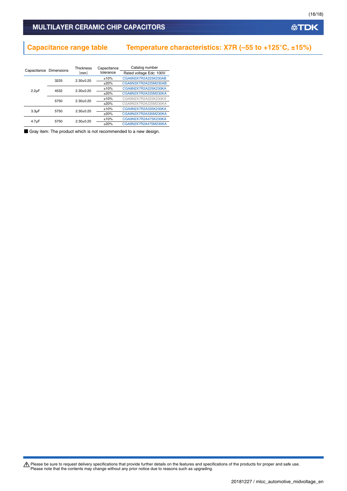### **Capacitance range table Temperature characteristics: X7R (–55 to +125°C, ±15%)**

|                    | Capacitance Dimensions | <b>Thickness</b> | Capacitance | Catalog number          |
|--------------------|------------------------|------------------|-------------|-------------------------|
|                    |                        | (mm)             | tolerance   | Rated voltage Edc: 100V |
|                    | 3225                   | $2.30+0.20$      | ±10%        | CGA6N3X7R2A225K230AB    |
|                    |                        |                  | $+20%$      | CGA6N3X7R2A225M230AB    |
| $2.2 \mu F$        | 4532                   | $2.30+0.20$      | ±10%        | CGA8N2X7R2A225K230KA    |
|                    |                        |                  | $+20%$      | CGA8N2X7R2A225M230KA    |
|                    | 5750                   | $2.30+0.20$      | ±10%        | CGA9N2X7R2A225K230KA    |
|                    |                        |                  | $+20%$      | CGA9N2X7R2A225M230KA    |
| 3.3 <sub>µ</sub> F | 5750                   | $2.30+0.20$      | ±10%        | CGA9N2X7R2A335K230KA    |
|                    |                        |                  | $+20%$      | CGA9N2X7R2A335M230KA    |
| 4.7 <sub>µ</sub> F | 5750                   | $2.30+0.20$      | ±10%        | CGA9N2X7R2A475K230KA    |
|                    |                        |                  | $+20%$      | CGA9N2X7R2A475M230KA    |

■ Gray item: The product which is not recommended to a new design.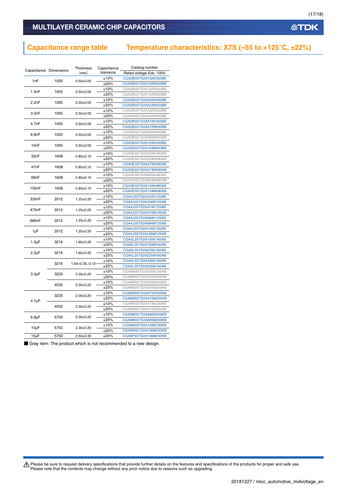### **MULTILAYER CERAMIC CHIP CAPACITORS**

### **Capacitance range table Temperature characteristics: X7S (–55 to +125°C, ±22%)**

| Capacitance Dimensions |      | Thickness            | Capacitance | Catalog number          |
|------------------------|------|----------------------|-------------|-------------------------|
|                        |      | (mm)                 | tolerance   | Rated voltage Edc: 100V |
| 1nF                    | 1005 | $0.50 + 0.05$        | ±10%        | CGA2B3X7S2A102K050BB    |
|                        |      |                      | ±20%        | CGA2B3X7S2A102M050BB    |
| 1.5nF                  | 1005 | $0.50 + 0.05$        | ±10%        | CGA2B3X7S2A152K050BB    |
|                        |      |                      | ±20%        | CGA2B3X7S2A152M050BB    |
| 2.2nF                  | 1005 | $0.50 + 0.05$        | ±10%        | CGA2B3X7S2A222K050BB    |
|                        |      |                      | ±20%        | CGA2B3X7S2A222M050BB    |
| 3.3nF                  | 1005 | $0.50 + 0.05$        | ±10%        | CGA2B3X7S2A332K050BB    |
|                        |      |                      | ±20%        | CGA2B3X7S2A332M050BB    |
| 4.7nF                  | 1005 | $0.50 + 0.05$        | ±10%        | CGA2B3X7S2A472K050BB    |
|                        |      |                      | ±20%        | CGA2B3X7S2A472M050BB    |
| 6.8nF                  | 1005 | $0.50 + 0.05$        | ±10%        | CGA2B3X7S2A682K050BB    |
|                        |      |                      | ±20%        | CGA2B3X7S2A682M050BB    |
| 10nF                   | 1005 | $0.50+0.05$          | ±10%        | CGA2B3X7S2A103K050BB    |
|                        |      |                      | ±20%        | CGA2B3X7S2A103M050BB    |
| 33nF                   | 1608 |                      | ±10%        | CGA3E3X7S2A333K080AB    |
|                        |      | $0.80 + 0.10$        | ±20%        | CGA3E3X7S2A333M080AB    |
| 47nF                   | 1608 | $0.80 + 0.10$        | ±10%        | CGA3E3X7S2A473K080AB    |
|                        |      |                      | ±20%        | CGA3E3X7S2A473M080AB    |
| 68nF                   | 1608 | $0.80 + 0.10$        | ±10%        | CGA3E3X7S2A683K080AB    |
|                        |      |                      | ±20%        | CGA3E3X7S2A683M080AB    |
| 100nF                  | 1608 | $0.80 + 0.10$        | ±10%        | CGA3E3X7S2A104K080AB    |
|                        |      |                      | ±20%        | CGA3E3X7S2A104M080AB    |
| 330nF                  | 2012 | $1.25 \pm 0.20$      | ±10%        | CGA4J3X7S2A334K125AB    |
|                        |      |                      | ±20%        | CGA4J3X7S2A334M125AB    |
| 470 <sub>n</sub> F     | 2012 | $1.25 \pm 0.20$      | ±10%        | CGA4J3X7S2A474K125AB    |
|                        |      |                      | ±20%        | CGA4J3X7S2A474M125AB    |
| 680nF                  | 2012 | $1.25 \pm 0.20$      | ±10%        | CGA4J3X7S2A684K125AB    |
|                        |      |                      | ±20%        | CGA4J3X7S2A684M125AB    |
| 1µF                    | 2012 | $1.25 \pm 0.20$      | ±10%        | CGA4J3X7S2A105K125AB    |
|                        |      |                      | ±20%        | CGA4J3X7S2A105M125AB    |
| $1.5 \mu F$            | 3216 | $1.60 + 0.20$        | ±10%        | CGA5L3X7S2A155K160AB    |
|                        |      |                      | ±20%        | CGA5L3X7S2A155M160AB    |
| $2.2\mu F$             | 3216 | $1.60 + 0.20$        | ±10%        | CGA5L3X7S2A225K160AB    |
|                        |      |                      | ±20%        | CGA5L3X7S2A225M160AB    |
|                        | 3216 | $1.60 + 0.30 - 0.10$ | ±10%        | CGA5L3X7S2A335K160AB    |
|                        |      |                      | ±20%        | CGA5L3X7S2A335M160AB    |
| $3.3 \mu F$            | 3225 | $2.00 \pm 0.20$      | ±10%        | CGA6M3X7S2A335K200AB    |
|                        |      |                      | ±20%        | CGA6M3X7S2A335M200AB    |
|                        | 4532 | $2.00 \pm 0.20$      | ±10%        | CGA8M3X7S2A335K200KB    |
|                        |      |                      | ±20%        | CGA8M3X7S2A335M200KB    |
|                        | 3225 | $2.00 \pm 0.20$      | ±10%        | CGA6M3X7S2A475K200AB    |
| $4.7 \mu F$            |      |                      | ±20%        | CGA6M3X7S2A475M200AB    |
|                        | 4532 | $2.30+0.20$          | ±10%        | CGA8N3X7S2A475K230KB    |
|                        |      |                      | ±20%        | CGA8N3X7S2A475M230KB    |
| $6.8\mu F$             | 5750 | $2.00+0.20$          | ±10%        | CGA9M3X7S2A685K200KB    |
|                        |      |                      | ±20%        | CGA9M3X7S2A685M200KB    |
| $10\mu F$              | 5750 | $2.30+0.20$          | ±10%        | CGA9N3X7S2A106K230KB    |
|                        |      |                      | ±20%        | CGA9N3X7S2A106M230KB    |
| $15\mu F$              | 5750 | $2.50 + 0.30$        | ±20%        | CGA9P3X7S2A156M250KB    |

■ Gray item: The product which is not recommended to a new design.